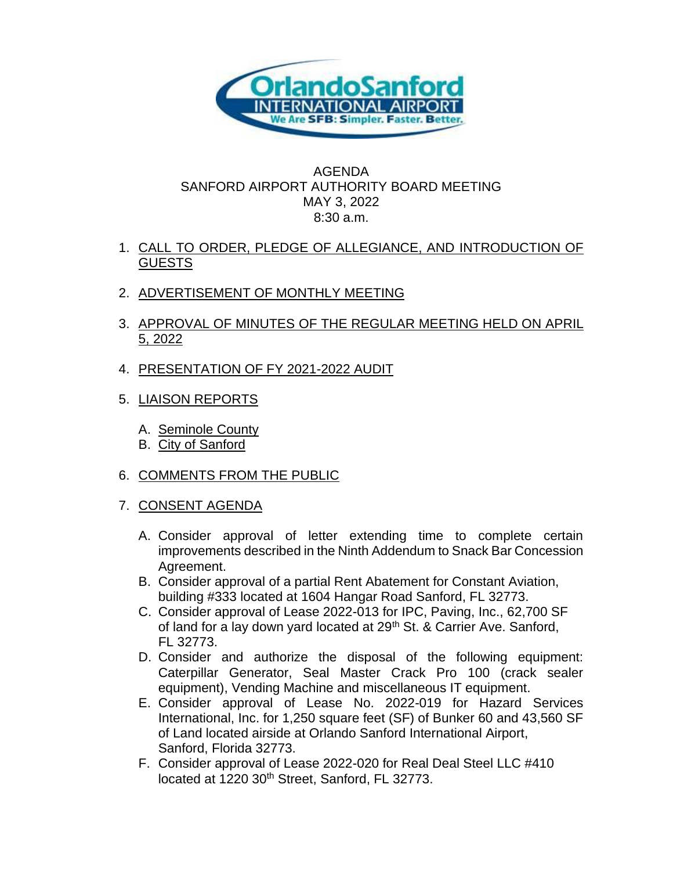

## AGENDA SANFORD AIRPORT AUTHORITY BOARD MEETING MAY 3, 2022 8:30 a.m.

- 1. CALL TO ORDER, PLEDGE OF ALLEGIANCE, AND INTRODUCTION OF **GUESTS**
- 2. ADVERTISEMENT OF MONTHLY MEETING
- 3. APPROVAL OF MINUTES OF THE REGULAR MEETING HELD ON APRIL 5, 2022
- 4. PRESENTATION OF FY 2021-2022 AUDIT
- 5. LIAISON REPORTS
	- A. Seminole County
	- B. City of Sanford
- 6. COMMENTS FROM THE PUBLIC
- 7. CONSENT AGENDA
	- A. Consider approval of letter extending time to complete certain improvements described in the Ninth Addendum to Snack Bar Concession Agreement.
	- B. Consider approval of a partial Rent Abatement for Constant Aviation, building #333 located at 1604 Hangar Road Sanford, FL 32773.
	- C. Consider approval of Lease 2022-013 for IPC, Paving, Inc., 62,700 SF of land for a lay down yard located at 29<sup>th</sup> St. & Carrier Ave. Sanford, FL 32773.
	- D. Consider and authorize the disposal of the following equipment: Caterpillar Generator, Seal Master Crack Pro 100 (crack sealer equipment), Vending Machine and miscellaneous IT equipment.
	- E. Consider approval of Lease No. 2022-019 for Hazard Services International, Inc. for 1,250 square feet (SF) of Bunker 60 and 43,560 SF of Land located airside at Orlando Sanford International Airport, Sanford, Florida 32773.
	- F. Consider approval of Lease 2022-020 for Real Deal Steel LLC #410 located at 1220 30<sup>th</sup> Street, Sanford, FL 32773.